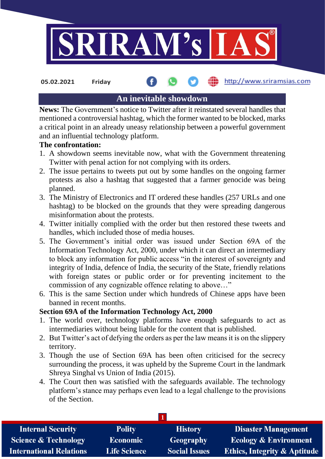

**05.02.2021 Friday**

## http://www.sriramsias.com

# **An inevitable showdown**

**News:** The Government's notice to Twitter after it reinstated several handles that mentioned a controversial hashtag, which the former wanted to be blocked, marks a critical point in an already uneasy relationship between a powerful government and an influential technology platform.

#### **The confrontation:**

- 1. A showdown seems inevitable now, what with the Government threatening Twitter with penal action for not complying with its orders.
- 2. The issue pertains to tweets put out by some handles on the ongoing farmer protests as also a hashtag that suggested that a farmer genocide was being planned.
- 3. The Ministry of Electronics and IT ordered these handles (257 URLs and one hashtag) to be blocked on the grounds that they were spreading dangerous misinformation about the protests.
- 4. Twitter initially complied with the order but then restored these tweets and handles, which included those of media houses.
- 5. The Government's initial order was issued under Section 69A of the Information Technology Act, 2000, under which it can direct an intermediary to block any information for public access "in the interest of sovereignty and integrity of India, defence of India, the security of the State, friendly relations with foreign states or public order or for preventing incitement to the commission of any cognizable offence relating to above…"
- 6. This is the same Section under which hundreds of Chinese apps have been banned in recent months.

## **Section 69A of the Information Technology Act, 2000**

- 1. The world over, technology platforms have enough safeguards to act as intermediaries without being liable for the content that is published.
- 2. But Twitter's act of defying the orders as per the law means it is on the slippery territory.
- 3. Though the use of Section 69A has been often criticised for the secrecy surrounding the process, it was upheld by the Supreme Court in the landmark Shreya Singhal vs Union of India (2015).
- 4. The Court then was satisfied with the safeguards available. The technology platform's stance may perhaps even lead to a legal challenge to the provisions of the Section.

| <b>Internal Security</b>        | <b>Polity</b>       | <b>History</b>       | <b>Disaster Management</b>              |  |  |  |
|---------------------------------|---------------------|----------------------|-----------------------------------------|--|--|--|
| <b>Science &amp; Technology</b> | <b>Economic</b>     | <b>Geography</b>     | <b>Ecology &amp; Environment</b>        |  |  |  |
| <b>International Relations</b>  | <b>Life Science</b> | <b>Social Issues</b> | <b>Ethics, Integrity &amp; Aptitude</b> |  |  |  |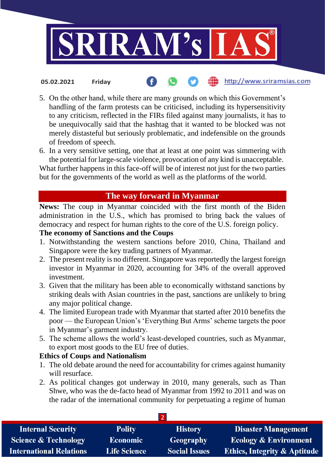

5. On the other hand, while there are many grounds on which this Government's handling of the farm protests can be criticised, including its hypersensitivity to any criticism, reflected in the FIRs filed against many journalists, it has to be unequivocally said that the hashtag that it wanted to be blocked was not merely distasteful but seriously problematic, and indefensible on the grounds of freedom of speech.

http://www.sriramsias.com

6. In a very sensitive setting, one that at least at one point was simmering with the potential for large-scale violence, provocation of any kind is unacceptable.

What further happens in this face-off will be of interest not just for the two parties but for the governments of the world as well as the platforms of the world.

# **The way forward in Myanmar**

**News:** The coup in Myanmar coincided with the first month of the Biden administration in the U.S., which has promised to bring back the values of democracy and respect for human rights to the core of the U.S. foreign policy.

## **The economy of Sanctions and the Coups**

**05.02.2021 Friday**

- 1. Notwithstanding the western sanctions before 2010, China, Thailand and Singapore were the key trading partners of Myanmar.
- 2. The present reality is no different. Singapore was reportedly the largest foreign investor in Myanmar in 2020, accounting for 34% of the overall approved investment.
- 3. Given that the military has been able to economically withstand sanctions by striking deals with Asian countries in the past, sanctions are unlikely to bring any major political change.
- 4. The limited European trade with Myanmar that started after 2010 benefits the poor — the European Union's 'Everything But Arms' scheme targets the poor in Myanmar's garment industry.
- 5. The scheme allows the world's least-developed countries, such as Myanmar, to export most goods to the EU free of duties.

## **Ethics of Coups and Nationalism**

- 1. The old debate around the need for accountability for crimes against humanity will resurface.
- 2. As political changes got underway in 2010, many generals, such as Than Shwe, who was the de-facto head of Myanmar from 1992 to 2011 and was on the radar of the international community for perpetuating a regime of human

| <b>Internal Security</b>        | <b>Polity</b>       | <b>History</b>       | <b>Disaster Management</b>              |  |  |  |
|---------------------------------|---------------------|----------------------|-----------------------------------------|--|--|--|
| <b>Science &amp; Technology</b> | <b>Economic</b>     | <b>Geography</b>     | <b>Ecology &amp; Environment</b>        |  |  |  |
| <b>International Relations</b>  | <b>Life Science</b> | <b>Social Issues</b> | <b>Ethics, Integrity &amp; Aptitude</b> |  |  |  |